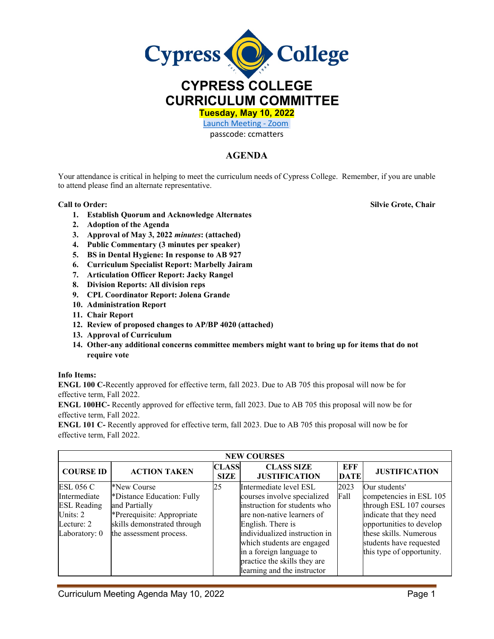

**Tuesday, May 10, 2022** 

[Launch Meeting - Zoom](https://cypresscollege-edu.zoom.us/j/96161669542?pwd=OWYraHlaR0UzOE9QYU9NaXlnSjRIZz09#success) 

## passcode: ccmatters

## **AGENDA**

Your attendance is critical in helping to meet the curriculum needs of Cypress College. Remember, if you are unable to attend please find an alternate representative.

## **Call to Order: Silvie Grote, Chair**

**1. Establish Quorum and Acknowledge Alternates**

- **2. Adoption of the Agenda**
- **3. Approval of May 3, 2022** *minutes***: (attached)**
- **4. Public Commentary (3 minutes per speaker)**
- **5. BS in Dental Hygiene: In response to AB 927**
- **6. Curriculum Specialist Report: Marbelly Jairam**
- **7. Articulation Officer Report: Jacky Rangel**
- **8. Division Reports: All division reps**
- **9. CPL Coordinator Report: Jolena Grande**
- **10. Administration Report**
- **11. Chair Report**
- **12. Review of proposed changes to AP/BP 4020 (attached)**
- **13. Approval of Curriculum**
- **14. Other-any additional concerns committee members might want to bring up for items that do not require vote**

## **Info Items:**

**ENGL 100 C-**Recently approved for effective term, fall 2023. Due to AB 705 this proposal will now be for effective term, Fall 2022.

**ENGL 100HC-** Recently approved for effective term, fall 2023. Due to AB 705 this proposal will now be for effective term, Fall 2022.

**ENGL 101 C-** Recently approved for effective term, fall 2023. Due to AB 705 this proposal will now be for effective term, Fall 2022.

| <b>NEW COURSES</b>                                                                                  |                                                                                                                                                    |                             |                                                                                                                                                                                                                                                                                                    |                    |                                                                                                                                                                                                              |  |  |
|-----------------------------------------------------------------------------------------------------|----------------------------------------------------------------------------------------------------------------------------------------------------|-----------------------------|----------------------------------------------------------------------------------------------------------------------------------------------------------------------------------------------------------------------------------------------------------------------------------------------------|--------------------|--------------------------------------------------------------------------------------------------------------------------------------------------------------------------------------------------------------|--|--|
| <b>COURSE ID</b>                                                                                    | <b>ACTION TAKEN</b>                                                                                                                                | <b>CLASS</b><br><b>SIZE</b> | <b>CLASS SIZE</b><br><b>JUSTIFICATION</b>                                                                                                                                                                                                                                                          | EFF<br><b>DATE</b> | <b>JUSTIFICATION</b>                                                                                                                                                                                         |  |  |
| <b>ESL 056 C</b><br>Intermediate<br><b>ESL Reading</b><br>Units: $2$<br>Lecture: 2<br>Laboratory: 0 | *New Course<br>*Distance Education: Fully<br>and Partially<br>*Prerequisite: Appropriate<br>skills demonstrated through<br>the assessment process. | 25                          | Intermediate level ESL<br>courses involve specialized<br>instruction for students who<br>are non-native learners of<br>English. There is<br>individualized instruction in<br>which students are engaged<br>in a foreign language to<br>practice the skills they are<br>learning and the instructor | 2023<br>Fall       | Our students'<br>competencies in ESL 105<br>through ESL 107 courses<br>indicate that they need<br>opportunities to develop<br>these skills. Numerous<br>students have requested<br>this type of opportunity. |  |  |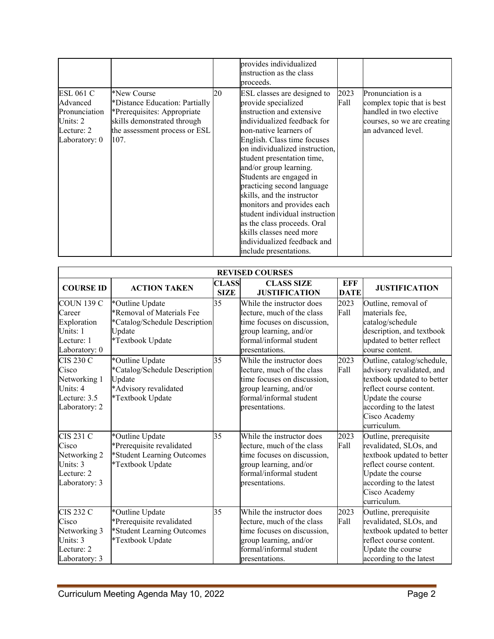|                                                                                          |                                                                                                                                                      |    | provides individualized<br>instruction as the class<br>proceeds.                                                                                                                                                                                                                                                                                                                                                                                                                                                                             |              |                                                                                                                                  |
|------------------------------------------------------------------------------------------|------------------------------------------------------------------------------------------------------------------------------------------------------|----|----------------------------------------------------------------------------------------------------------------------------------------------------------------------------------------------------------------------------------------------------------------------------------------------------------------------------------------------------------------------------------------------------------------------------------------------------------------------------------------------------------------------------------------------|--------------|----------------------------------------------------------------------------------------------------------------------------------|
| <b>ESL 061 C</b><br>Advanced<br>Pronunciation<br>Units: 2<br>Lecture: 2<br>Laboratory: 0 | *New Course<br>*Distance Education: Partially<br>*Prerequisites: Appropriate<br>skills demonstrated through<br>the assessment process or ESL<br>107. | 20 | ESL classes are designed to<br>provide specialized<br>instruction and extensive<br>individualized feedback for<br>non-native learners of<br>English. Class time focuses<br>on individualized instruction,<br>student presentation time,<br>and/or group learning.<br>Students are engaged in<br>practicing second language<br>skills, and the instructor<br>monitors and provides each<br>student individual instruction<br>as the class proceeds. Oral<br>skills classes need more<br>individualized feedback and<br>include presentations. | 2023<br>Fall | Pronunciation is a<br>complex topic that is best<br>handled in two elective<br>courses, so we are creating<br>an advanced level. |

|                                                                                        | <b>REVISED COURSES</b>                                                                                      |                             |                                                                                                                                                               |                    |                                                                                                                                                                                                  |  |  |  |
|----------------------------------------------------------------------------------------|-------------------------------------------------------------------------------------------------------------|-----------------------------|---------------------------------------------------------------------------------------------------------------------------------------------------------------|--------------------|--------------------------------------------------------------------------------------------------------------------------------------------------------------------------------------------------|--|--|--|
| <b>COURSE ID</b>                                                                       | <b>ACTION TAKEN</b>                                                                                         | <b>CLASS</b><br><b>SIZE</b> | <b>CLASS SIZE</b><br><b>JUSTIFICATION</b>                                                                                                                     | EFF<br><b>DATE</b> | <b>JUSTIFICATION</b>                                                                                                                                                                             |  |  |  |
| <b>COUN 139 C</b><br>Career<br>Exploration<br>Units: 1<br>Lecture: 1<br>Laboratory: 0  | *Outline Update<br>*Removal of Materials Fee<br>*Catalog/Schedule Description<br>Update<br>*Textbook Update | 35                          | While the instructor does<br>lecture, much of the class<br>time focuses on discussion,<br>group learning, and/or<br>formal/informal student<br>presentations. | 2023<br>Fall       | Outline, removal of<br>materials fee,<br>catalog/schedule<br>description, and textbook<br>updated to better reflect<br>course content.                                                           |  |  |  |
| <b>CIS 230 C</b><br>Cisco<br>Networking 1<br>Units: 4<br>Lecture: 3.5<br>Laboratory: 2 | *Outline Update<br>*Catalog/Schedule Description<br>Update<br>*Advisory revalidated<br>*Textbook Update     | 35                          | While the instructor does<br>lecture, much of the class<br>time focuses on discussion,<br>group learning, and/or<br>formal/informal student<br>presentations. | 2023<br>Fall       | Outline, catalog/schedule,<br>advisory revalidated, and<br>textbook updated to better<br>reflect course content.<br>Update the course<br>according to the latest<br>Cisco Academy<br>curriculum. |  |  |  |
| <b>CIS 231 C</b><br>Cisco<br>Networking 2<br>Units: 3<br>Lecture: 2<br>Laboratory: 3   | *Outline Update<br>*Prerequisite revalidated<br>*Student Learning Outcomes<br>*Textbook Update              | 35                          | While the instructor does<br>lecture, much of the class<br>time focuses on discussion,<br>group learning, and/or<br>formal/informal student<br>presentations. | 2023<br>Fall       | Outline, prerequisite<br>revalidated, SLOs, and<br>textbook updated to better<br>reflect course content.<br>Update the course<br>according to the latest<br>Cisco Academy<br>curriculum.         |  |  |  |
| <b>CIS 232 C</b><br>Cisco<br>Networking 3<br>Units: 3<br>Lecture: 2<br>Laboratory: 3   | *Outline Update<br>*Prerequisite revalidated<br>*Student Learning Outcomes<br>*Textbook Update              | 35                          | While the instructor does<br>lecture, much of the class<br>time focuses on discussion,<br>group learning, and/or<br>formal/informal student<br>presentations. | 2023<br>Fall       | Outline, prerequisite<br>revalidated, SLOs, and<br>textbook updated to better<br>reflect course content.<br>Update the course<br>according to the latest                                         |  |  |  |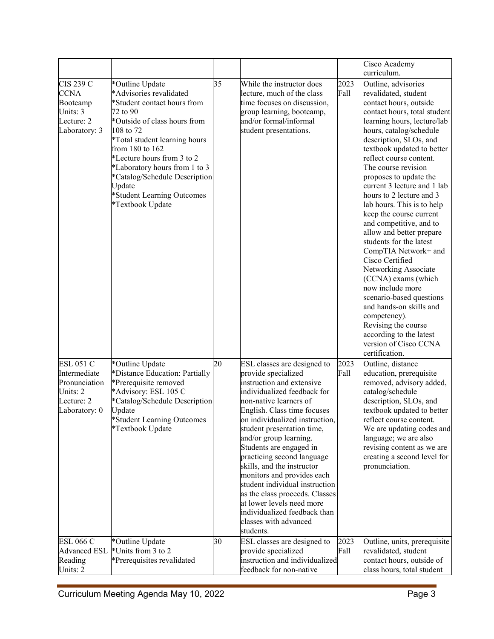|                     |                                       |    |                                                             |      | Cisco Academy                                        |
|---------------------|---------------------------------------|----|-------------------------------------------------------------|------|------------------------------------------------------|
|                     |                                       |    |                                                             |      | curriculum.                                          |
| <b>CIS 239 C</b>    | *Outline Update                       | 35 | While the instructor does                                   | 2023 | Outline, advisories                                  |
| <b>CCNA</b>         | *Advisories revalidated               |    | lecture, much of the class                                  | Fall | revalidated, student                                 |
| Bootcamp            | *Student contact hours from           |    | time focuses on discussion,                                 |      | contact hours, outside                               |
| Units: 3            | 72 to 90                              |    | group learning, bootcamp,                                   |      | contact hours, total student                         |
| Lecture: 2          | *Outside of class hours from          |    | and/or formal/informal                                      |      | learning hours, lecture/lab                          |
| Laboratory: 3       | 108 to 72                             |    | student presentations.                                      |      | hours, catalog/schedule                              |
|                     | *Total student learning hours         |    |                                                             |      | description, SLOs, and                               |
|                     | from 180 to 162                       |    |                                                             |      | textbook updated to better                           |
|                     | *Lecture hours from 3 to 2            |    |                                                             |      | reflect course content.                              |
|                     | *Laboratory hours from 1 to 3         |    |                                                             |      | The course revision                                  |
|                     | *Catalog/Schedule Description         |    |                                                             |      | proposes to update the                               |
|                     | Update                                |    |                                                             |      | current 3 lecture and 1 lab                          |
|                     | *Student Learning Outcomes            |    |                                                             |      | hours to 2 lecture and 3                             |
|                     | *Textbook Update                      |    |                                                             |      | lab hours. This is to help                           |
|                     |                                       |    |                                                             |      | keep the course current                              |
|                     |                                       |    |                                                             |      | and competitive, and to                              |
|                     |                                       |    |                                                             |      | allow and better prepare                             |
|                     |                                       |    |                                                             |      | students for the latest                              |
|                     |                                       |    |                                                             |      | CompTIA Network+ and                                 |
|                     |                                       |    |                                                             |      | Cisco Certified                                      |
|                     |                                       |    |                                                             |      | Networking Associate                                 |
|                     |                                       |    |                                                             |      | (CCNA) exams (which                                  |
|                     |                                       |    |                                                             |      | now include more                                     |
|                     |                                       |    |                                                             |      | scenario-based questions                             |
|                     |                                       |    |                                                             |      | and hands-on skills and                              |
|                     |                                       |    |                                                             |      | competency).                                         |
|                     |                                       |    |                                                             |      | Revising the course                                  |
|                     |                                       |    |                                                             |      | according to the latest                              |
|                     |                                       |    |                                                             |      | version of Cisco CCNA                                |
|                     |                                       |    |                                                             |      | certification.                                       |
| <b>ESL 051 C</b>    | *Outline Update                       | 20 | ESL classes are designed to                                 | 2023 | Outline, distance                                    |
| Intermediate        | *Distance Education: Partially        |    | provide specialized                                         | Fall | education, prerequisite                              |
| Pronunciation       | *Prerequisite removed                 |    | instruction and extensive                                   |      | removed, advisory added,                             |
| Units: 2            | *Advisory: ESL 105 C                  |    | individualized feedback for                                 |      | catalog/schedule                                     |
| Lecture: 2          | *Catalog/Schedule Description         |    | non-native learners of                                      |      | description, SLOs, and                               |
| Laboratory: 0       | Update                                |    | English. Class time focuses                                 |      | textbook updated to better                           |
|                     | *Student Learning Outcomes            |    | on individualized instruction,                              |      | reflect course content.                              |
|                     | *Textbook Update                      |    | student presentation time,                                  |      | We are updating codes and                            |
|                     |                                       |    | and/or group learning.                                      |      | language; we are also                                |
|                     |                                       |    | Students are engaged in                                     |      | revising content as we are                           |
|                     |                                       |    | practicing second language                                  |      | creating a second level for                          |
|                     |                                       |    | skills, and the instructor                                  |      | pronunciation.                                       |
|                     |                                       |    | monitors and provides each                                  |      |                                                      |
|                     |                                       |    | student individual instruction                              |      |                                                      |
|                     |                                       |    | as the class proceeds. Classes<br>at lower levels need more |      |                                                      |
|                     |                                       |    | individualized feedback than                                |      |                                                      |
|                     |                                       |    | classes with advanced                                       |      |                                                      |
|                     |                                       |    | students.                                                   |      |                                                      |
| <b>ESL 066 C</b>    |                                       | 30 |                                                             | 2023 |                                                      |
| <b>Advanced ESL</b> | *Outline Update<br>*Units from 3 to 2 |    | ESL classes are designed to<br>provide specialized          | Fall | Outline, units, prerequisite<br>revalidated, student |
| Reading             | *Prerequisites revalidated            |    | instruction and individualized                              |      | contact hours, outside of                            |
| Units: 2            |                                       |    | feedback for non-native                                     |      | class hours, total student                           |
|                     |                                       |    |                                                             |      |                                                      |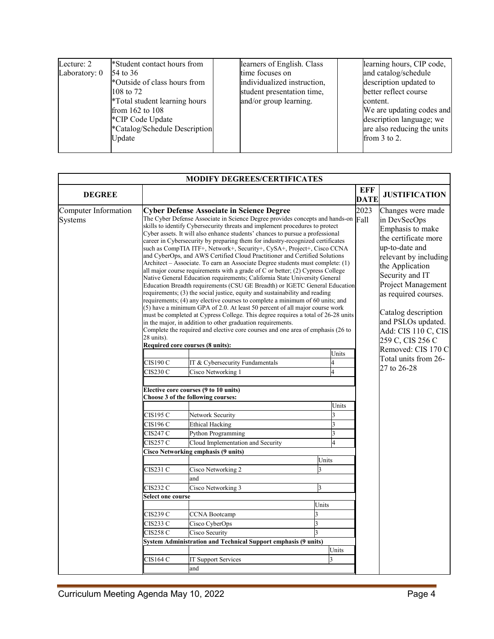| Lecture: 2    | *Student contact hours from                                                                                                                                    | learners of English. Class                                                                             | learning hours, CIP code,                                                                                                                                                   |
|---------------|----------------------------------------------------------------------------------------------------------------------------------------------------------------|--------------------------------------------------------------------------------------------------------|-----------------------------------------------------------------------------------------------------------------------------------------------------------------------------|
| Laboratory: 0 | 54 to 36<br>*Outside of class hours from<br>108 to 72<br>*Total student learning hours<br>from 162 to 108<br>*CIP Code Update<br>*Catalog/Schedule Description | time focuses on<br>individualized instruction,<br>student presentation time,<br>and/or group learning. | and catalog/schedule<br>description updated to<br>better reflect course<br>content.<br>We are updating codes and<br>description language; we<br>are also reducing the units |
|               | Update                                                                                                                                                         |                                                                                                        | from $3$ to $2$ .                                                                                                                                                           |

| <b>MODIFY DEGREES/CERTIFICATES</b> |                     |                                                                                                                                                                                                                                                                                                                                                                                                                                                                                                                                                                                                                                                                                                                                                                                                                                                                                                                                                                                                                                                                                                                                                                                                                                                                                       |                |                                                                                                                                                                                                                                                           |                      |  |  |  |
|------------------------------------|---------------------|---------------------------------------------------------------------------------------------------------------------------------------------------------------------------------------------------------------------------------------------------------------------------------------------------------------------------------------------------------------------------------------------------------------------------------------------------------------------------------------------------------------------------------------------------------------------------------------------------------------------------------------------------------------------------------------------------------------------------------------------------------------------------------------------------------------------------------------------------------------------------------------------------------------------------------------------------------------------------------------------------------------------------------------------------------------------------------------------------------------------------------------------------------------------------------------------------------------------------------------------------------------------------------------|----------------|-----------------------------------------------------------------------------------------------------------------------------------------------------------------------------------------------------------------------------------------------------------|----------------------|--|--|--|
| <b>DEGREE</b>                      |                     |                                                                                                                                                                                                                                                                                                                                                                                                                                                                                                                                                                                                                                                                                                                                                                                                                                                                                                                                                                                                                                                                                                                                                                                                                                                                                       |                | EFF<br><b>DATE</b>                                                                                                                                                                                                                                        | <b>JUSTIFICATION</b> |  |  |  |
| Computer Information<br>Systems    |                     | <b>Cyber Defense Associate in Science Degree</b><br>The Cyber Defense Associate in Science Degree provides concepts and hands-on Fall<br>skills to identify Cybersecurity threats and implement procedures to protect<br>Cyber assets. It will also enhance students' chances to pursue a professional<br>career in Cybersecurity by preparing them for industry-recognized certificates<br>such as CompTIA ITF+, Network+, Security+, CySA+, Project+, Cisco CCNA<br>and CyberOps, and AWS Certified Cloud Practitioner and Certified Solutions<br>Architect – Associate. To earn an Associate Degree students must complete: (1)<br>all major course requirements with a grade of $C$ or better; (2) Cypress College<br>Native General Education requirements; California State University General<br>Education Breadth requirements (CSU GE Breadth) or IGETC General Education<br>requirements; (3) the social justice, equity and sustainability and reading<br>requirements; (4) any elective courses to complete a minimum of 60 units; and<br>(5) have a minimum GPA of 2.0. At least 50 percent of all major course work<br>must be completed at Cypress College. This degree requires a total of 26-28 units<br>in the major, in addition to other graduation requirements. | 2023           | Changes were made<br>in DevSecOps<br>Emphasis to make<br>the certificate more<br>up-to-date and<br>relevant by including<br>the Application<br>Security and IT<br>Project Management<br>as required courses.<br>Catalog description<br>and PSLOs updated. |                      |  |  |  |
|                                    | 28 units).          | Complete the required and elective core courses and one area of emphasis (26 to<br>Required core courses (8 units):                                                                                                                                                                                                                                                                                                                                                                                                                                                                                                                                                                                                                                                                                                                                                                                                                                                                                                                                                                                                                                                                                                                                                                   |                | Add: CIS 110 C, CIS<br>259 C, CIS 256 C<br>Removed: CIS 170 C                                                                                                                                                                                             |                      |  |  |  |
|                                    |                     |                                                                                                                                                                                                                                                                                                                                                                                                                                                                                                                                                                                                                                                                                                                                                                                                                                                                                                                                                                                                                                                                                                                                                                                                                                                                                       | Units          |                                                                                                                                                                                                                                                           | Total units from 26- |  |  |  |
|                                    | CIS190 C<br>CIS230C | IT & Cybersecurity Fundamentals<br>Cisco Networking 1                                                                                                                                                                                                                                                                                                                                                                                                                                                                                                                                                                                                                                                                                                                                                                                                                                                                                                                                                                                                                                                                                                                                                                                                                                 | 4<br>4         |                                                                                                                                                                                                                                                           | 27 to 26-28          |  |  |  |
|                                    |                     | Elective core courses (9 to 10 units)<br>Choose 3 of the following courses:                                                                                                                                                                                                                                                                                                                                                                                                                                                                                                                                                                                                                                                                                                                                                                                                                                                                                                                                                                                                                                                                                                                                                                                                           | Units          |                                                                                                                                                                                                                                                           |                      |  |  |  |
|                                    | CIS195 C            | Network Security                                                                                                                                                                                                                                                                                                                                                                                                                                                                                                                                                                                                                                                                                                                                                                                                                                                                                                                                                                                                                                                                                                                                                                                                                                                                      | 3              |                                                                                                                                                                                                                                                           |                      |  |  |  |
|                                    | CIS196 C            | <b>Ethical Hacking</b>                                                                                                                                                                                                                                                                                                                                                                                                                                                                                                                                                                                                                                                                                                                                                                                                                                                                                                                                                                                                                                                                                                                                                                                                                                                                | 3              |                                                                                                                                                                                                                                                           |                      |  |  |  |
|                                    | CIS247C             | <b>Python Programming</b>                                                                                                                                                                                                                                                                                                                                                                                                                                                                                                                                                                                                                                                                                                                                                                                                                                                                                                                                                                                                                                                                                                                                                                                                                                                             | 3              |                                                                                                                                                                                                                                                           |                      |  |  |  |
|                                    | CIS257C             | Cloud Implementation and Security                                                                                                                                                                                                                                                                                                                                                                                                                                                                                                                                                                                                                                                                                                                                                                                                                                                                                                                                                                                                                                                                                                                                                                                                                                                     | $\overline{4}$ |                                                                                                                                                                                                                                                           |                      |  |  |  |
|                                    |                     | Cisco Networking emphasis (9 units)                                                                                                                                                                                                                                                                                                                                                                                                                                                                                                                                                                                                                                                                                                                                                                                                                                                                                                                                                                                                                                                                                                                                                                                                                                                   |                |                                                                                                                                                                                                                                                           |                      |  |  |  |
|                                    |                     |                                                                                                                                                                                                                                                                                                                                                                                                                                                                                                                                                                                                                                                                                                                                                                                                                                                                                                                                                                                                                                                                                                                                                                                                                                                                                       | Units          |                                                                                                                                                                                                                                                           |                      |  |  |  |
|                                    | CIS231 C            | Cisco Networking 2                                                                                                                                                                                                                                                                                                                                                                                                                                                                                                                                                                                                                                                                                                                                                                                                                                                                                                                                                                                                                                                                                                                                                                                                                                                                    | 3              |                                                                                                                                                                                                                                                           |                      |  |  |  |
|                                    |                     | and                                                                                                                                                                                                                                                                                                                                                                                                                                                                                                                                                                                                                                                                                                                                                                                                                                                                                                                                                                                                                                                                                                                                                                                                                                                                                   |                |                                                                                                                                                                                                                                                           |                      |  |  |  |
|                                    | CIS232C             | Cisco Networking 3                                                                                                                                                                                                                                                                                                                                                                                                                                                                                                                                                                                                                                                                                                                                                                                                                                                                                                                                                                                                                                                                                                                                                                                                                                                                    | 3              |                                                                                                                                                                                                                                                           |                      |  |  |  |
|                                    | Select one course   |                                                                                                                                                                                                                                                                                                                                                                                                                                                                                                                                                                                                                                                                                                                                                                                                                                                                                                                                                                                                                                                                                                                                                                                                                                                                                       |                |                                                                                                                                                                                                                                                           |                      |  |  |  |
|                                    |                     |                                                                                                                                                                                                                                                                                                                                                                                                                                                                                                                                                                                                                                                                                                                                                                                                                                                                                                                                                                                                                                                                                                                                                                                                                                                                                       | Units          |                                                                                                                                                                                                                                                           |                      |  |  |  |
|                                    | CIS239 C            | <b>CCNA Bootcamp</b>                                                                                                                                                                                                                                                                                                                                                                                                                                                                                                                                                                                                                                                                                                                                                                                                                                                                                                                                                                                                                                                                                                                                                                                                                                                                  | 3              |                                                                                                                                                                                                                                                           |                      |  |  |  |
|                                    | CIS233 C            | Cisco CyberOps                                                                                                                                                                                                                                                                                                                                                                                                                                                                                                                                                                                                                                                                                                                                                                                                                                                                                                                                                                                                                                                                                                                                                                                                                                                                        | 3              |                                                                                                                                                                                                                                                           |                      |  |  |  |
|                                    | CIS258 C            | Cisco Security                                                                                                                                                                                                                                                                                                                                                                                                                                                                                                                                                                                                                                                                                                                                                                                                                                                                                                                                                                                                                                                                                                                                                                                                                                                                        |                |                                                                                                                                                                                                                                                           |                      |  |  |  |
|                                    |                     | System Administration and Technical Support emphasis (9 units)                                                                                                                                                                                                                                                                                                                                                                                                                                                                                                                                                                                                                                                                                                                                                                                                                                                                                                                                                                                                                                                                                                                                                                                                                        |                |                                                                                                                                                                                                                                                           |                      |  |  |  |
|                                    |                     |                                                                                                                                                                                                                                                                                                                                                                                                                                                                                                                                                                                                                                                                                                                                                                                                                                                                                                                                                                                                                                                                                                                                                                                                                                                                                       | Units          |                                                                                                                                                                                                                                                           |                      |  |  |  |
|                                    | CIS164 C            | <b>IT Support Services</b>                                                                                                                                                                                                                                                                                                                                                                                                                                                                                                                                                                                                                                                                                                                                                                                                                                                                                                                                                                                                                                                                                                                                                                                                                                                            | 3              |                                                                                                                                                                                                                                                           |                      |  |  |  |
|                                    |                     | and                                                                                                                                                                                                                                                                                                                                                                                                                                                                                                                                                                                                                                                                                                                                                                                                                                                                                                                                                                                                                                                                                                                                                                                                                                                                                   |                |                                                                                                                                                                                                                                                           |                      |  |  |  |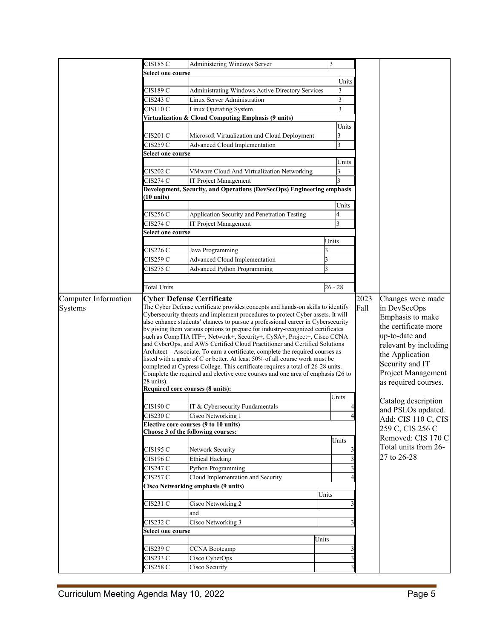|                      | CIS185 C                                               | Administering Windows Server                                                                                                                                  | 3                                |                         |                       |  |  |
|----------------------|--------------------------------------------------------|---------------------------------------------------------------------------------------------------------------------------------------------------------------|----------------------------------|-------------------------|-----------------------|--|--|
|                      | Select one course                                      |                                                                                                                                                               |                                  |                         |                       |  |  |
|                      |                                                        |                                                                                                                                                               | Units                            |                         |                       |  |  |
|                      | CIS189 C                                               |                                                                                                                                                               |                                  |                         |                       |  |  |
|                      |                                                        | <b>Administrating Windows Active Directory Services</b>                                                                                                       |                                  |                         |                       |  |  |
|                      | CIS243 C                                               |                                                                                                                                                               | Linux Server Administration<br>3 |                         |                       |  |  |
|                      | CIS110 C                                               | Linux Operating System                                                                                                                                        | $\overline{3}$                   |                         |                       |  |  |
|                      |                                                        | Virtualization & Cloud Computing Emphasis (9 units)                                                                                                           |                                  |                         |                       |  |  |
|                      |                                                        |                                                                                                                                                               | Units                            |                         |                       |  |  |
|                      | CIS201 C                                               | Microsoft Virtualization and Cloud Deployment                                                                                                                 | 3                                |                         |                       |  |  |
|                      | CIS259 C                                               | Advanced Cloud Implementation                                                                                                                                 | 3                                |                         |                       |  |  |
|                      | Select one course                                      |                                                                                                                                                               |                                  |                         |                       |  |  |
|                      |                                                        |                                                                                                                                                               | Units                            |                         |                       |  |  |
|                      | CIS202 C                                               | VMware Cloud And Virtualization Networking                                                                                                                    | 3                                |                         |                       |  |  |
|                      | <b>CIS274 C</b>                                        | IT Project Management                                                                                                                                         |                                  |                         |                       |  |  |
|                      |                                                        | Development, Security, and Operations (DevSecOps) Engineering emphasis                                                                                        |                                  |                         |                       |  |  |
|                      | (10 units)                                             |                                                                                                                                                               |                                  |                         |                       |  |  |
|                      |                                                        |                                                                                                                                                               | Units                            |                         |                       |  |  |
|                      | CIS256C                                                | Application Security and Penetration Testing                                                                                                                  |                                  |                         |                       |  |  |
|                      | CIS274 C                                               | IT Project Management                                                                                                                                         |                                  |                         |                       |  |  |
|                      | Select one course                                      |                                                                                                                                                               |                                  |                         |                       |  |  |
|                      |                                                        |                                                                                                                                                               | Units                            |                         |                       |  |  |
|                      |                                                        |                                                                                                                                                               |                                  |                         |                       |  |  |
|                      | CIS226C                                                | Java Programming                                                                                                                                              |                                  |                         |                       |  |  |
|                      | CIS259 C                                               | <b>Advanced Cloud Implementation</b>                                                                                                                          | 3                                |                         |                       |  |  |
|                      | CIS275 C                                               | <b>Advanced Python Programming</b>                                                                                                                            | 3                                |                         |                       |  |  |
|                      |                                                        |                                                                                                                                                               |                                  |                         |                       |  |  |
|                      | <b>Total Units</b>                                     |                                                                                                                                                               | $26 - 28$                        |                         |                       |  |  |
| Computer Information |                                                        | <b>Cyber Defense Certificate</b>                                                                                                                              |                                  | 2023                    | Changes were made     |  |  |
| Systems              |                                                        | The Cyber Defense certificate provides concepts and hands-on skills to identify                                                                               | Fall                             | in DevSecOps            |                       |  |  |
|                      |                                                        | Cybersecurity threats and implement procedures to protect Cyber assets. It will                                                                               |                                  |                         |                       |  |  |
|                      |                                                        | also enhance students' chances to pursue a professional career in Cybersecurity                                                                               |                                  |                         | Emphasis to make      |  |  |
|                      |                                                        | by giving them various options to prepare for industry-recognized certificates                                                                                |                                  |                         | the certificate more  |  |  |
|                      |                                                        | such as CompTIA ITF+, Network+, Security+, CySA+, Project+, Cisco CCNA                                                                                        |                                  |                         | up-to-date and        |  |  |
|                      |                                                        | and CyberOps, and AWS Certified Cloud Practitioner and Certified Solutions                                                                                    |                                  |                         | relevant by including |  |  |
|                      |                                                        | Architect - Associate. To earn a certificate, complete the required courses as<br>listed with a grade of C or better. At least 50% of all course work must be |                                  |                         | the Application       |  |  |
|                      |                                                        | completed at Cypress College. This certificate requires a total of 26-28 units.                                                                               |                                  | Security and IT         |                       |  |  |
|                      |                                                        | Complete the required and elective core courses and one area of emphasis (26 to                                                                               |                                  | Project Management      |                       |  |  |
|                      | 28 units).                                             |                                                                                                                                                               |                                  |                         | as required courses.  |  |  |
|                      |                                                        | Required core courses (8 units):                                                                                                                              |                                  |                         |                       |  |  |
|                      |                                                        |                                                                                                                                                               | Units                            |                         | Catalog description   |  |  |
|                      | CIS190 C                                               | IT & Cybersecurity Fundamentals                                                                                                                               |                                  |                         | and PSLOs updated.    |  |  |
|                      | CIS230 C                                               | Cisco Networking 1                                                                                                                                            |                                  |                         |                       |  |  |
|                      |                                                        | Elective core courses (9 to 10 units)                                                                                                                         |                                  |                         | Add: CIS 110 C, CIS   |  |  |
|                      | 259 C, CIS 256 C<br>Choose 3 of the following courses: |                                                                                                                                                               |                                  |                         |                       |  |  |
|                      |                                                        |                                                                                                                                                               | Units                            |                         | Removed: CIS 170 C    |  |  |
|                      | CIS195 C                                               | Network Security                                                                                                                                              |                                  |                         | Total units from 26-  |  |  |
|                      | CIS196 C                                               | <b>Ethical Hacking</b>                                                                                                                                        |                                  | $\overline{\mathbf{3}}$ | 27 to 26-28           |  |  |
|                      | CIS247 C                                               | Python Programming                                                                                                                                            |                                  | $\frac{3}{2}$           |                       |  |  |
|                      | CIS257 C                                               | Cloud Implementation and Security                                                                                                                             |                                  | 41                      |                       |  |  |
|                      |                                                        |                                                                                                                                                               |                                  |                         |                       |  |  |
|                      |                                                        | Cisco Networking emphasis (9 units)                                                                                                                           |                                  |                         |                       |  |  |
|                      |                                                        |                                                                                                                                                               | Units                            |                         |                       |  |  |
|                      | CIS231 C                                               | Cisco Networking 2                                                                                                                                            |                                  | 3                       |                       |  |  |
|                      |                                                        | and                                                                                                                                                           |                                  |                         |                       |  |  |
|                      | CIS232 C                                               | Cisco Networking 3                                                                                                                                            |                                  | 31                      |                       |  |  |
|                      | Select one course                                      |                                                                                                                                                               |                                  |                         |                       |  |  |
|                      |                                                        |                                                                                                                                                               | Units                            |                         |                       |  |  |
|                      | CIS239 C                                               | <b>CCNA Bootcamp</b>                                                                                                                                          |                                  | 3                       |                       |  |  |
|                      | CIS233 C                                               | Cisco CyberOps                                                                                                                                                |                                  | $\overline{\mathbf{3}}$ |                       |  |  |
|                      | CIS258 C                                               | Cisco Security                                                                                                                                                |                                  | $\overline{\mathbf{3}}$ |                       |  |  |
|                      |                                                        |                                                                                                                                                               |                                  |                         |                       |  |  |